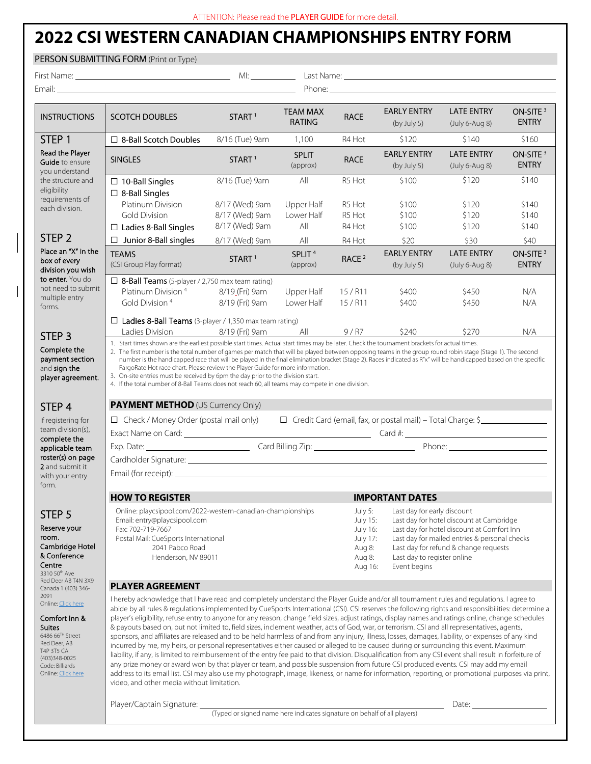## **2022 CSI WESTERN CANADIAN CHAMPIONSHIPS ENTRY FORM**

|                                                                                                                                                                               | PERSON SUBMITTING FORM (Print or Type)                                                                                                                                                                                                                                                                                                                                                                                                                                                                                                                                                                                                                                                                                                                                                                                                                                                                                                                                                                                                                                                                                                                                                                                                                                                                                                                                                                     |                                                                                                                 |                                  |                                                                                                                                                                                                                                                |                                                                                                                         |                                       |                                      |  |  |  |
|-------------------------------------------------------------------------------------------------------------------------------------------------------------------------------|------------------------------------------------------------------------------------------------------------------------------------------------------------------------------------------------------------------------------------------------------------------------------------------------------------------------------------------------------------------------------------------------------------------------------------------------------------------------------------------------------------------------------------------------------------------------------------------------------------------------------------------------------------------------------------------------------------------------------------------------------------------------------------------------------------------------------------------------------------------------------------------------------------------------------------------------------------------------------------------------------------------------------------------------------------------------------------------------------------------------------------------------------------------------------------------------------------------------------------------------------------------------------------------------------------------------------------------------------------------------------------------------------------|-----------------------------------------------------------------------------------------------------------------|----------------------------------|------------------------------------------------------------------------------------------------------------------------------------------------------------------------------------------------------------------------------------------------|-------------------------------------------------------------------------------------------------------------------------|---------------------------------------|--------------------------------------|--|--|--|
|                                                                                                                                                                               |                                                                                                                                                                                                                                                                                                                                                                                                                                                                                                                                                                                                                                                                                                                                                                                                                                                                                                                                                                                                                                                                                                                                                                                                                                                                                                                                                                                                            |                                                                                                                 |                                  |                                                                                                                                                                                                                                                | Last Name: <u>Communications</u> Communications and Communications Communications and Communications Communications and |                                       |                                      |  |  |  |
|                                                                                                                                                                               |                                                                                                                                                                                                                                                                                                                                                                                                                                                                                                                                                                                                                                                                                                                                                                                                                                                                                                                                                                                                                                                                                                                                                                                                                                                                                                                                                                                                            |                                                                                                                 |                                  |                                                                                                                                                                                                                                                |                                                                                                                         |                                       |                                      |  |  |  |
| <b>INSTRUCTIONS</b>                                                                                                                                                           | <b>SCOTCH DOUBLES</b>                                                                                                                                                                                                                                                                                                                                                                                                                                                                                                                                                                                                                                                                                                                                                                                                                                                                                                                                                                                                                                                                                                                                                                                                                                                                                                                                                                                      | START <sup>1</sup>                                                                                              | <b>TEAM MAX</b><br><b>RATING</b> | <b>RACE</b>                                                                                                                                                                                                                                    | <b>EARLY ENTRY</b><br>(by July 5)                                                                                       | <b>LATE ENTRY</b><br>$(July 6-Auq 8)$ | ON-SITE <sup>3</sup><br><b>ENTRY</b> |  |  |  |
| STEP <sub>1</sub>                                                                                                                                                             | $\Box$ 8-Ball Scotch Doubles                                                                                                                                                                                                                                                                                                                                                                                                                                                                                                                                                                                                                                                                                                                                                                                                                                                                                                                                                                                                                                                                                                                                                                                                                                                                                                                                                                               | 8/16 (Tue) 9am                                                                                                  | 1,100                            | R4 Hot                                                                                                                                                                                                                                         | \$120                                                                                                                   | \$140                                 | \$160                                |  |  |  |
| Read the Player<br>Guide to ensure<br>you understand                                                                                                                          | <b>SINGLES</b>                                                                                                                                                                                                                                                                                                                                                                                                                                                                                                                                                                                                                                                                                                                                                                                                                                                                                                                                                                                                                                                                                                                                                                                                                                                                                                                                                                                             | START <sup>1</sup>                                                                                              | <b>SPLIT</b><br>(approx)         | <b>RACE</b>                                                                                                                                                                                                                                    | <b>EARLY ENTRY</b><br>(by July 5)                                                                                       | <b>LATE ENTRY</b><br>(July 6-Aug 8)   | ON-SITE <sup>3</sup><br><b>ENTRY</b> |  |  |  |
| the structure and<br>eligibility<br>requirements of<br>each division.                                                                                                         | $\Box$ 10-Ball Singles<br>$\Box$ 8-Ball Singles                                                                                                                                                                                                                                                                                                                                                                                                                                                                                                                                                                                                                                                                                                                                                                                                                                                                                                                                                                                                                                                                                                                                                                                                                                                                                                                                                            | 8/16 (Tue) 9am                                                                                                  | All                              | R5 Hot                                                                                                                                                                                                                                         | \$100                                                                                                                   | \$120                                 | \$140                                |  |  |  |
|                                                                                                                                                                               | Platinum Division<br><b>Gold Division</b><br>$\Box$ Ladies 8-Ball Singles                                                                                                                                                                                                                                                                                                                                                                                                                                                                                                                                                                                                                                                                                                                                                                                                                                                                                                                                                                                                                                                                                                                                                                                                                                                                                                                                  | 8/17 (Wed) 9am<br>8/17 (Wed) 9am<br>8/17 (Wed) 9am                                                              | Upper Half<br>Lower Half<br>All  | R5 Hot<br>R5 Hot<br>R4 Hot                                                                                                                                                                                                                     | \$100<br>\$100<br>\$100                                                                                                 | \$120<br>\$120<br>\$120               | \$140<br>\$140<br>\$140              |  |  |  |
| STEP <sub>2</sub>                                                                                                                                                             | Junior 8-Ball singles<br>$\Box$                                                                                                                                                                                                                                                                                                                                                                                                                                                                                                                                                                                                                                                                                                                                                                                                                                                                                                                                                                                                                                                                                                                                                                                                                                                                                                                                                                            | 8/17 (Wed) 9am                                                                                                  | All                              | R4 Hot                                                                                                                                                                                                                                         | \$20                                                                                                                    | \$30                                  | \$40                                 |  |  |  |
| Place an "X" in the<br>box of every<br>division you wish                                                                                                                      | <b>TEAMS</b><br>(CSI Group Play format)                                                                                                                                                                                                                                                                                                                                                                                                                                                                                                                                                                                                                                                                                                                                                                                                                                                                                                                                                                                                                                                                                                                                                                                                                                                                                                                                                                    | START <sup>1</sup>                                                                                              | SPLIT <sup>4</sup><br>(approx)   | RACE <sup>2</sup>                                                                                                                                                                                                                              | <b>EARLY ENTRY</b><br>(by July 5)                                                                                       | <b>LATE ENTRY</b><br>(July 6-Aug 8)   | ON-SITE <sup>3</sup><br><b>ENTRY</b> |  |  |  |
| to enter. You do<br>not need to submit<br>multiple entry<br>forms.                                                                                                            | $\Box$ 8-Ball Teams (5-player / 2,750 max team rating)<br>Platinum Division <sup>4</sup><br>Gold Division <sup>4</sup>                                                                                                                                                                                                                                                                                                                                                                                                                                                                                                                                                                                                                                                                                                                                                                                                                                                                                                                                                                                                                                                                                                                                                                                                                                                                                     | 8/19 (Fri) 9am<br>8/19 (Fri) 9am                                                                                | Upper Half<br>Lower Half         | $15/$ R11<br>15 / R11                                                                                                                                                                                                                          | \$400<br>\$400                                                                                                          | \$450<br>\$450                        | N/A<br>N/A                           |  |  |  |
| STEP <sub>3</sub>                                                                                                                                                             | □ Ladies 8-Ball Teams (3-player / 1,350 max team rating)<br>Ladies Division                                                                                                                                                                                                                                                                                                                                                                                                                                                                                                                                                                                                                                                                                                                                                                                                                                                                                                                                                                                                                                                                                                                                                                                                                                                                                                                                | 8/19 (Fri) 9am                                                                                                  | All                              | 9/ R7                                                                                                                                                                                                                                          | \$240                                                                                                                   | \$270                                 | N/A                                  |  |  |  |
| STEP <sub>4</sub><br>If registering for<br>team division(s),                                                                                                                  | 4. If the total number of 8-Ball Teams does not reach 60, all teams may compete in one division.<br><b>PAYMENT METHOD (US Currency Only)</b><br>□ Credit Card (email, fax, or postal mail) – Total Charge: \$<br>$\Box$ Check / Money Order (postal mail only)<br>Exact Name on Card: 2000 Card 2000 Card #: 2000 Card #: 2000 Card #: 2000 Card #: 2000 Card #: 2000 Card #: 2000 Card #: 2000 Card #: 2000 Card #: 2000 Card #: 2000 Card #: 2000 Card #: 2000 Card #: 2000 Card #: 2000 Card                                                                                                                                                                                                                                                                                                                                                                                                                                                                                                                                                                                                                                                                                                                                                                                                                                                                                                            |                                                                                                                 |                                  |                                                                                                                                                                                                                                                |                                                                                                                         |                                       |                                      |  |  |  |
| complete the<br>applicable team<br>roster(s) on page<br>2 and submit it                                                                                                       |                                                                                                                                                                                                                                                                                                                                                                                                                                                                                                                                                                                                                                                                                                                                                                                                                                                                                                                                                                                                                                                                                                                                                                                                                                                                                                                                                                                                            | Cardholder Signature: 2008 Card 2008 Card 2008 Card 2008 Card 2008 Card 2008 Card 2008 Card 2008 Card 2008 Card |                                  |                                                                                                                                                                                                                                                |                                                                                                                         |                                       |                                      |  |  |  |
| with your entry<br>form.                                                                                                                                                      | Email (for receipt): example and the state of the state of the state of the state of the state of the state of                                                                                                                                                                                                                                                                                                                                                                                                                                                                                                                                                                                                                                                                                                                                                                                                                                                                                                                                                                                                                                                                                                                                                                                                                                                                                             |                                                                                                                 |                                  |                                                                                                                                                                                                                                                |                                                                                                                         |                                       |                                      |  |  |  |
|                                                                                                                                                                               | <b>HOW TO REGISTER</b><br><b>IMPORTANT DATES</b>                                                                                                                                                                                                                                                                                                                                                                                                                                                                                                                                                                                                                                                                                                                                                                                                                                                                                                                                                                                                                                                                                                                                                                                                                                                                                                                                                           |                                                                                                                 |                                  |                                                                                                                                                                                                                                                |                                                                                                                         |                                       |                                      |  |  |  |
| STEP 5<br>Reserve your<br>room.<br>Cambridge Hotel<br>& Conference<br>Centre<br>3310 50th Ave<br>Red Deer AB T4N 3X9                                                          | Online: playcsipool.com/2022-western-canadian-championships<br>Email: entry@playcsipool.com<br>Fax: 702-719-7667<br>Postal Mail: CueSports International<br>2041 Pabco Road<br>Henderson, NV 89011                                                                                                                                                                                                                                                                                                                                                                                                                                                                                                                                                                                                                                                                                                                                                                                                                                                                                                                                                                                                                                                                                                                                                                                                         | July 5:<br>July 15:<br>July 16:<br>July 17:<br>Aug 8:<br>Aug 8:<br>Aug 16:                                      | Event begins                     | Last day for early discount<br>Last day for hotel discount at Cambridge<br>Last day for hotel discount at Comfort Inn<br>Last day for mailed entries & personal checks<br>Last day for refund & change requests<br>Last day to register online |                                                                                                                         |                                       |                                      |  |  |  |
| Canada 1 (403) 346-<br>2091                                                                                                                                                   | <b>PLAYER AGREEMENT</b>                                                                                                                                                                                                                                                                                                                                                                                                                                                                                                                                                                                                                                                                                                                                                                                                                                                                                                                                                                                                                                                                                                                                                                                                                                                                                                                                                                                    |                                                                                                                 |                                  |                                                                                                                                                                                                                                                |                                                                                                                         |                                       |                                      |  |  |  |
| Online: Click here<br>Comfort Inn &<br><b>Suites</b><br>$648666$ <sup>TH</sup> Street<br>Red Deer, AB<br>T4P 3T5 CA<br>(403)348-0025<br>Code: Billiards<br>Online: Click here | I hereby acknowledge that I have read and completely understand the Player Guide and/or all tournament rules and regulations. I agree to<br>abide by all rules & regulations implemented by CueSports International (CSI). CSI reserves the following rights and responsibilities: determine a<br>player's eligibility, refuse entry to anyone for any reason, change field sizes, adjust ratings, display names and ratings online, change schedules<br>& payouts based on, but not limited to, field sizes, inclement weather, acts of God, war, or terrorism. CSI and all representatives, agents,<br>sponsors, and affiliates are released and to be held harmless of and from any injury, illness, losses, damages, liability, or expenses of any kind<br>incurred by me, my heirs, or personal representatives either caused or alleged to be caused during or surrounding this event. Maximum<br>liability, if any, is limited to reimbursement of the entry fee paid to that division. Disqualification from any CSI event shall result in forfeiture of<br>any prize money or award won by that player or team, and possible suspension from future CSI produced events. CSI may add my email<br>address to its email list. CSI may also use my photograph, image, likeness, or name for information, reporting, or promotional purposes via print,<br>video, and other media without limitation. |                                                                                                                 |                                  |                                                                                                                                                                                                                                                |                                                                                                                         |                                       |                                      |  |  |  |
|                                                                                                                                                                               | Player/Captain Signature:                                                                                                                                                                                                                                                                                                                                                                                                                                                                                                                                                                                                                                                                                                                                                                                                                                                                                                                                                                                                                                                                                                                                                                                                                                                                                                                                                                                  |                                                                                                                 |                                  |                                                                                                                                                                                                                                                |                                                                                                                         | Date:                                 |                                      |  |  |  |

(Typed or signed name here indicates signature on behalf of all players)